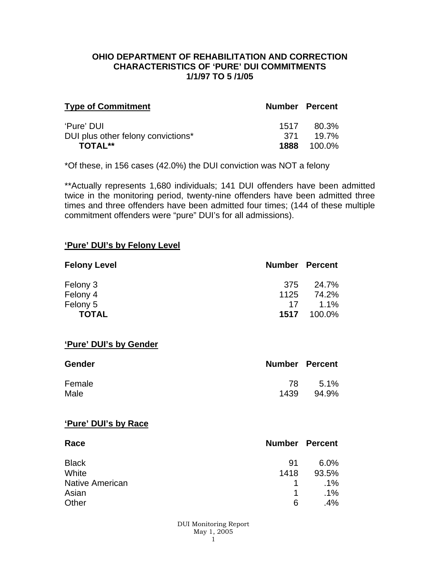### **OHIO DEPARTMENT OF REHABILITATION AND CORRECTION CHARACTERISTICS OF 'PURE' DUI COMMITMENTS 1/1/97 TO 5 /1/05**

| <b>Type of Commitment</b>          | <b>Number Percent</b> |                    |
|------------------------------------|-----------------------|--------------------|
| 'Pure' DUI                         | 1517                  | 80.3%              |
| DUI plus other felony convictions* | .371                  | 19.7%              |
| <b>TOTAL**</b>                     |                       | <b>1888</b> 100.0% |

\*Of these, in 156 cases (42.0%) the DUI conviction was NOT a felony

\*\*Actually represents 1,680 individuals; 141 DUI offenders have been admitted twice in the monitoring period, twenty-nine offenders have been admitted three times and three offenders have been admitted four times; (144 of these multiple commitment offenders were "pure" DUI's for all admissions).

#### **'Pure' DUI's by Felony Level**

| <b>Felony Level</b> | <b>Number Percent</b> |         |
|---------------------|-----------------------|---------|
| Felony 3            | -375                  | 24.7%   |
| Felony 4            | 1125                  | 74.2%   |
| Felony 5            | 17                    | $1.1\%$ |
| <b>TOTAL</b>        | 1517                  | 100.0%  |

#### **'Pure' DUI's by Gender**

| <b>Gender</b> | <b>Number Percent</b> |       |
|---------------|-----------------------|-------|
| Female        | 78                    | 5.1%  |
| Male          | 1439                  | 94.9% |

#### **'Pure' DUI's by Race**

| Race                   | <b>Number Percent</b> |        |
|------------------------|-----------------------|--------|
| <b>Black</b>           | .91                   | 6.0%   |
| White                  | 1418                  | 93.5%  |
| <b>Native American</b> | 1.                    | $.1\%$ |
| Asian                  | 1                     | $.1\%$ |
| Other                  | 6                     | .4%    |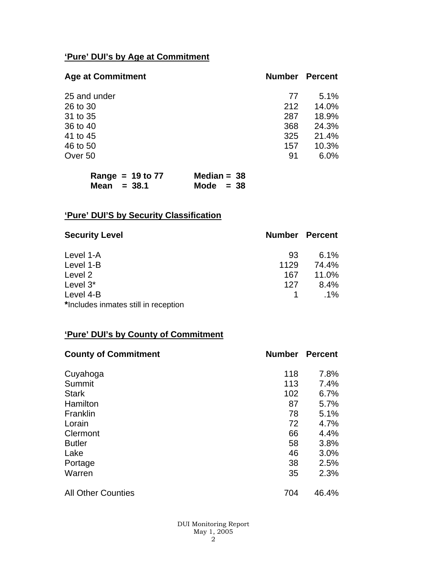# **'Pure' DUI's by Age at Commitment**

| <b>Age at Commitment</b> | <b>Number</b> | <b>Percent</b> |
|--------------------------|---------------|----------------|
| 25 and under             | 77            | 5.1%           |
| 26 to 30                 | 212           | 14.0%          |
| 31 to 35                 | 287           | 18.9%          |
| 36 to 40                 | 368           | 24.3%          |
| 41 to 45                 | 325           | 21.4%          |
| 46 to 50                 | 157           | 10.3%          |
| Over 50                  | 91            | 6.0%           |
|                          |               |                |

| Range = $19$ to $77$ | Median = $38$ |
|----------------------|---------------|
| Mean $=$ 38.1        | Mode $= 38$   |

# **'Pure' DUI'S by Security Classification**

| <b>Security Level</b>                | <b>Number Percent</b> |         |
|--------------------------------------|-----------------------|---------|
| Level 1-A                            | 93                    | $6.1\%$ |
| Level 1-B                            | 1129                  | 74.4%   |
| Level 2                              | 167                   | 11.0%   |
| Level 3*                             | 127                   | 8.4%    |
| Level 4-B                            |                       | $.1\%$  |
| *Includes inmates still in reception |                       |         |

# **'Pure' DUI's by County of Commitment**

| <b>County of Commitment</b> | <b>Number</b> | <b>Percent</b> |
|-----------------------------|---------------|----------------|
| Cuyahoga                    | 118           | 7.8%           |
| Summit                      | 113           | 7.4%           |
| <b>Stark</b>                | 102           | 6.7%           |
| Hamilton                    | 87            | 5.7%           |
| Franklin                    | 78            | 5.1%           |
| Lorain                      | 72            | 4.7%           |
| Clermont                    | 66            | 4.4%           |
| <b>Butler</b>               | 58            | 3.8%           |
| Lake                        | 46            | 3.0%           |
| Portage                     | 38            | 2.5%           |
| Warren                      | 35            | 2.3%           |
| <b>All Other Counties</b>   | 704           | 46.4%          |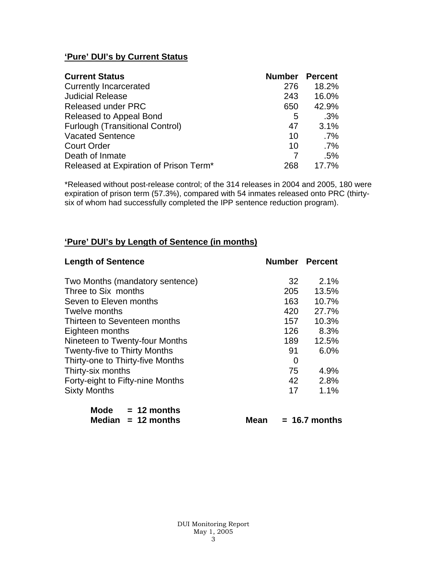# **'Pure' DUI's by Current Status**

| <b>Current Status</b>                  | <b>Number Percent</b> |        |
|----------------------------------------|-----------------------|--------|
| <b>Currently Incarcerated</b>          | 276                   | 18.2%  |
| <b>Judicial Release</b>                | 243                   | 16.0%  |
| <b>Released under PRC</b>              | 650                   | 42.9%  |
| Released to Appeal Bond                | 5                     | .3%    |
| <b>Furlough (Transitional Control)</b> | 47                    | 3.1%   |
| <b>Vacated Sentence</b>                | 10                    | $.7\%$ |
| <b>Court Order</b>                     | 10                    | $.7\%$ |
| Death of Inmate                        |                       | .5%    |
| Released at Expiration of Prison Term* | 268                   | 17.7%  |

\*Released without post-release control; of the 314 releases in 2004 and 2005, 180 were expiration of prison term (57.3%), compared with 54 inmates released onto PRC (thirtysix of whom had successfully completed the IPP sentence reduction program).

## **'Pure' DUI's by Length of Sentence (in months)**

| <b>Length of Sentence</b>           | <b>Number Percent</b> |       |
|-------------------------------------|-----------------------|-------|
| Two Months (mandatory sentence)     | 32                    | 2.1%  |
| Three to Six months                 | 205                   | 13.5% |
| Seven to Eleven months              | 163                   | 10.7% |
| Twelve months                       | 420                   | 27.7% |
| Thirteen to Seventeen months        | 157                   | 10.3% |
| Eighteen months                     | 126                   | 8.3%  |
| Nineteen to Twenty-four Months      | 189                   | 12.5% |
| <b>Twenty-five to Thirty Months</b> | 91                    | 6.0%  |
| Thirty-one to Thirty-five Months    | 0                     |       |
| Thirty-six months                   | 75                    | 4.9%  |
| Forty-eight to Fifty-nine Months    | 42                    | 2.8%  |
| <b>Sixty Months</b>                 | 17                    | 1.1%  |
|                                     |                       |       |

| Mode | $= 12$ months        |
|------|----------------------|
|      | Median $= 12$ months |

**Mean = 16.7 months**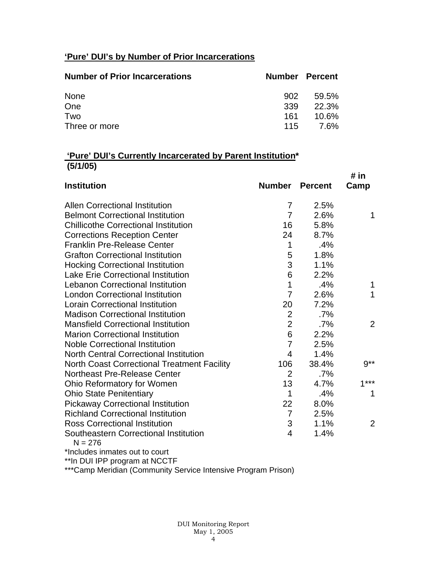# **'Pure' DUI's by Number of Prior Incarcerations**

| <b>Number of Prior Incarcerations</b> | <b>Number Percent</b> |       |
|---------------------------------------|-----------------------|-------|
| None                                  | 902                   | 59.5% |
| One                                   | 339                   | 22.3% |
| Two                                   | 161                   | 10.6% |
| Three or more                         | 115                   | 7.6%  |

## **'Pure' DUI's Currently Incarcerated by Parent Institution\* (5/1/05)**

|                                                    |                 |                | # $in$ |
|----------------------------------------------------|-----------------|----------------|--------|
| <b>Institution</b>                                 | <b>Number</b>   | <b>Percent</b> | Camp   |
| <b>Allen Correctional Institution</b>              | $\overline{7}$  | 2.5%           |        |
| <b>Belmont Correctional Institution</b>            | $\overline{7}$  | 2.6%           | 1      |
| <b>Chillicothe Correctional Institution</b>        | 16              | 5.8%           |        |
| <b>Corrections Reception Center</b>                | 24              | 8.7%           |        |
| <b>Franklin Pre-Release Center</b>                 | 1               | .4%            |        |
| <b>Grafton Correctional Institution</b>            | 5               | 1.8%           |        |
| <b>Hocking Correctional Institution</b>            | 3               | 1.1%           |        |
| <b>Lake Erie Correctional Institution</b>          | 6               | 2.2%           |        |
| <b>Lebanon Correctional Institution</b>            | 1               | .4%            | 1      |
| <b>London Correctional Institution</b>             | $\overline{7}$  | 2.6%           | 1      |
| <b>Lorain Correctional Institution</b>             | 20              | 7.2%           |        |
| <b>Madison Correctional Institution</b>            | $\overline{2}$  | $.7\%$         |        |
| <b>Mansfield Correctional Institution</b>          | $\overline{2}$  | $.7\%$         | 2      |
| <b>Marion Correctional Institution</b>             | $6\phantom{1}6$ | 2.2%           |        |
| <b>Noble Correctional Institution</b>              | $\overline{7}$  | 2.5%           |        |
| <b>North Central Correctional Institution</b>      | $\overline{4}$  | 1.4%           |        |
| <b>North Coast Correctional Treatment Facility</b> | 106             | 38.4%          | $9**$  |
| <b>Northeast Pre-Release Center</b>                | $\overline{2}$  | $.7\%$         |        |
| Ohio Reformatory for Women                         | 13              | 4.7%           | $1***$ |
| <b>Ohio State Penitentiary</b>                     | $\mathbf 1$     | .4%            | 1      |
| <b>Pickaway Correctional Institution</b>           | 22              | 8.0%           |        |
| <b>Richland Correctional Institution</b>           | $\overline{7}$  | 2.5%           |        |
| <b>Ross Correctional Institution</b>               | 3               | 1.1%           | 2      |
| Southeastern Correctional Institution<br>$N = 276$ | 4               | 1.4%           |        |
| *Includes inmates out to court                     |                 |                |        |

\*\*In DUI IPP program at NCCTF

\*\*\*Camp Meridian (Community Service Intensive Program Prison)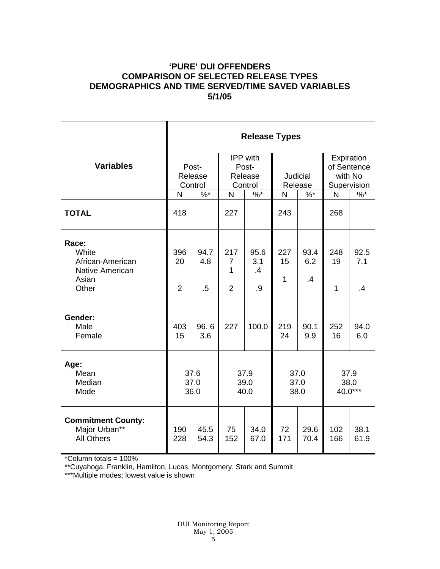## **'PURE' DUI OFFENDERS COMPARISON OF SELECTED RELEASE TYPES DEMOGRAPHICS AND TIME SERVED/TIME SAVED VARIABLES 5/1/05**

|                                                                                | <b>Release Types</b>        |                       |                                              |                         |                            |                        |                                                     |                        |  |
|--------------------------------------------------------------------------------|-----------------------------|-----------------------|----------------------------------------------|-------------------------|----------------------------|------------------------|-----------------------------------------------------|------------------------|--|
| <b>Variables</b>                                                               | Post-<br>Release<br>Control |                       | IPP with<br>Post-<br>Release<br>Control      |                         | <b>Judicial</b><br>Release |                        | Expiration<br>of Sentence<br>with No<br>Supervision |                        |  |
|                                                                                | N                           | $\frac{9}{6}$ *       | $\overline{N}$                               | $\%$ *                  | N                          | $\%$ *                 | N                                                   | $\%$ *                 |  |
| <b>TOTAL</b>                                                                   | 418                         |                       | 227                                          |                         | 243                        |                        | 268                                                 |                        |  |
| Race:<br>White<br>African-American<br><b>Native American</b><br>Asian<br>Other | 396<br>20<br>$\overline{2}$ | 94.7<br>4.8<br>$.5\,$ | 217<br>$\overline{7}$<br>1<br>$\overline{2}$ | 95.6<br>3.1<br>.4<br>.9 | 227<br>15<br>$\mathbf{1}$  | 93.4<br>6.2<br>$\cdot$ | 248<br>19<br>1                                      | 92.5<br>7.1<br>$\cdot$ |  |
| Gender:<br>Male<br>Female                                                      | 403<br>15                   | 96.6<br>3.6           | 227                                          | 100.0                   | 219<br>24                  | 90.1<br>9.9            | 252<br>16                                           | 94.0<br>6.0            |  |
| Age:<br>Mean<br>Median<br>Mode                                                 | 37.6<br>37.0<br>36.0        |                       | 37.9<br>39.0<br>40.0                         |                         | 37.0<br>37.0<br>38.0       |                        | 37.9<br>38.0<br>40.0***                             |                        |  |
| <b>Commitment County:</b><br>Major Urban**<br><b>All Others</b>                | 190<br>228                  | 45.5<br>54.3          | 75<br>152                                    | 34.0<br>67.0            | 72<br>171                  | 29.6<br>70.4           | 102<br>166                                          | 38.1<br>61.9           |  |

\*Column totals = 100%

\*\*Cuyahoga, Franklin, Hamilton, Lucas, Montgomery, Stark and Summit

\*\*\*Multiple modes; lowest value is shown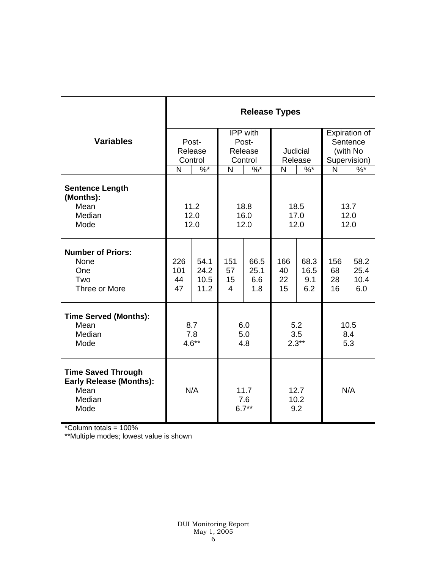|                                                                                       | <b>Release Types</b> |         |                        |        |              |                     |              |               |  |
|---------------------------------------------------------------------------------------|----------------------|---------|------------------------|--------|--------------|---------------------|--------------|---------------|--|
|                                                                                       |                      |         | IPP with               |        |              |                     |              | Expiration of |  |
| <b>Variables</b>                                                                      |                      | Post-   |                        | Post-  |              |                     |              | Sentence      |  |
|                                                                                       |                      | Release | Release                |        | Judicial     |                     | (with No     |               |  |
|                                                                                       | Control              |         | Control                |        | Release      |                     |              | Supervision)  |  |
|                                                                                       | N                    | $%^*$   | N                      | $\%$ * | $%^*$<br>N   |                     | $\mathsf{N}$ | $\%$          |  |
| <b>Sentence Length</b><br>(Months):<br>Mean                                           |                      |         |                        |        |              |                     |              |               |  |
| Median                                                                                | 11.2<br>12.0         |         | 18.8<br>16.0           |        | 18.5<br>17.0 |                     | 13.7<br>12.0 |               |  |
| Mode                                                                                  | 12.0                 |         | 12.0                   |        | 12.0         |                     | 12.0         |               |  |
|                                                                                       |                      |         |                        |        |              |                     |              |               |  |
| <b>Number of Priors:</b><br>None                                                      | 226                  | 54.1    | 151                    | 66.5   | 166          | 68.3                | 156          | 58.2          |  |
| One                                                                                   | 101                  | 24.2    | 57                     | 25.1   | 40           | 16.5                | 68           | 25.4          |  |
| Two                                                                                   | 44                   | 10.5    | 15                     | 6.6    | 22           | 9.1                 | 28           | 10.4          |  |
| Three or More                                                                         | 47                   | 11.2    | 4                      | 1.8    | 15           | 6.2                 | 16           | 6.0           |  |
| <b>Time Served (Months):</b>                                                          |                      |         |                        |        |              |                     |              |               |  |
| Mean                                                                                  | 8.7                  |         | 6.0                    |        | 5.2<br>3.5   |                     | 10.5<br>8.4  |               |  |
| Median<br>Mode                                                                        | 7.8<br>$4.6**$       |         | 5.0                    |        | $2.3**$      |                     | 5.3          |               |  |
|                                                                                       |                      |         | 4.8                    |        |              |                     |              |               |  |
| <b>Time Saved Through</b><br><b>Early Release (Months):</b><br>Mean<br>Median<br>Mode |                      | N/A     | 11.7<br>7.6<br>$6.7**$ |        |              | 12.7<br>10.2<br>9.2 | N/A          |               |  |

\*Column totals = 100%

\*\*Multiple modes; lowest value is shown